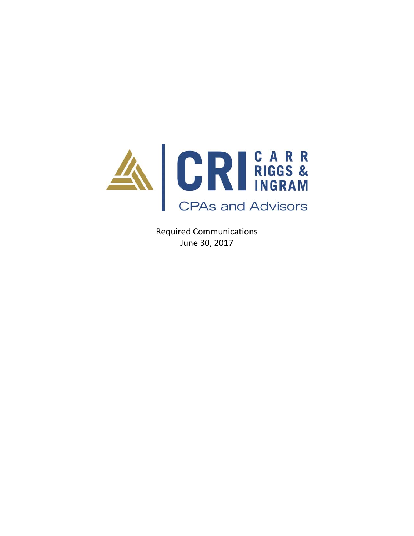

Required Communications June 30, 2017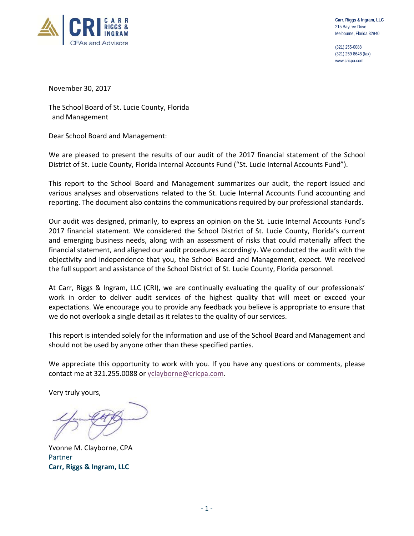

(321) 255-0088 (321) 259-8648 (fax) www.cricpa.com

November 30, 2017

The School Board of St. Lucie County, Florida and Management

Dear School Board and Management:

We are pleased to present the results of our audit of the 2017 financial statement of the School District of St. Lucie County, Florida Internal Accounts Fund ("St. Lucie Internal Accounts Fund").

This report to the School Board and Management summarizes our audit, the report issued and various analyses and observations related to the St. Lucie Internal Accounts Fund accounting and reporting. The document also contains the communications required by our professional standards.

Our audit was designed, primarily, to express an opinion on the St. Lucie Internal Accounts Fund's 2017 financial statement. We considered the School District of St. Lucie County, Florida's current and emerging business needs, along with an assessment of risks that could materially affect the financial statement, and aligned our audit procedures accordingly. We conducted the audit with the objectivity and independence that you, the School Board and Management, expect. We received the full support and assistance of the School District of St. Lucie County, Florida personnel.

At Carr, Riggs & Ingram, LLC (CRI), we are continually evaluating the quality of our professionals' work in order to deliver audit services of the highest quality that will meet or exceed your expectations. We encourage you to provide any feedback you believe is appropriate to ensure that we do not overlook a single detail as it relates to the quality of our services.

This report is intended solely for the information and use of the School Board and Management and should not be used by anyone other than these specified parties.

We appreciate this opportunity to work with you. If you have any questions or comments, please contact me at 321.255.0088 or yclayborne@cricpa.com.

Very truly yours,

Yvonne M. Clayborne, CPA Partner **Carr, Riggs & Ingram, LLC**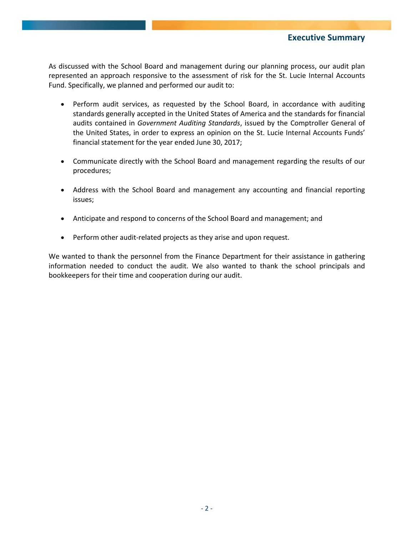As discussed with the School Board and management during our planning process, our audit plan represented an approach responsive to the assessment of risk for the St. Lucie Internal Accounts Fund. Specifically, we planned and performed our audit to:

- Perform audit services, as requested by the School Board, in accordance with auditing standards generally accepted in the United States of America and the standards for financial audits contained in *Government Auditing Standards*, issued by the Comptroller General of the United States, in order to express an opinion on the St. Lucie Internal Accounts Funds' financial statement for the year ended June 30, 2017;
- Communicate directly with the School Board and management regarding the results of our procedures;
- Address with the School Board and management any accounting and financial reporting issues;
- Anticipate and respond to concerns of the School Board and management; and
- Perform other audit-related projects as they arise and upon request.

We wanted to thank the personnel from the Finance Department for their assistance in gathering information needed to conduct the audit. We also wanted to thank the school principals and bookkeepers for their time and cooperation during our audit.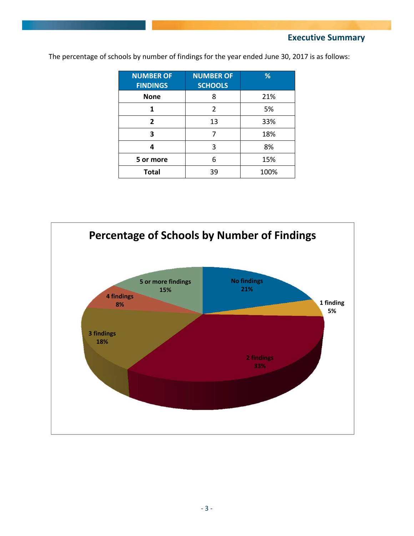**Executive Summary** 

| <b>NUMBER OF</b><br><b>FINDINGS</b> | <b>NUMBER OF</b><br><b>SCHOOLS</b> | %    |
|-------------------------------------|------------------------------------|------|
| <b>None</b>                         | 8                                  | 21%  |
|                                     | 2                                  | 5%   |
| $\overline{2}$                      | 13                                 | 33%  |
| 3                                   |                                    | 18%  |
| Δ                                   | 3                                  | 8%   |
| 5 or more                           | 6                                  | 15%  |
| <b>Total</b>                        | 39                                 | 100% |

The percentage of schools by number of findings for the year ended June 30, 2017 is as follows:

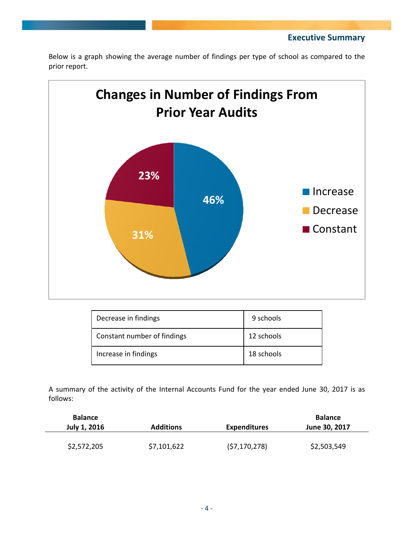**Executive Summary** 





| Decrease in findings        | 9 schools  |
|-----------------------------|------------|
| Constant number of findings | 12 schools |
| Increase in findings        | 18 schools |

A summary of the activity of the Internal Accounts Fund for the year ended June 30, 2017 is as follows:

| <b>Balance</b><br>July 1, 2016 | <b>Additions</b> | <b>Expenditures</b> | <b>Balance</b><br>June 30, 2017 |
|--------------------------------|------------------|---------------------|---------------------------------|
| \$2,572,205                    | \$7,101,622      | (57, 170, 278)      | \$2,503,549                     |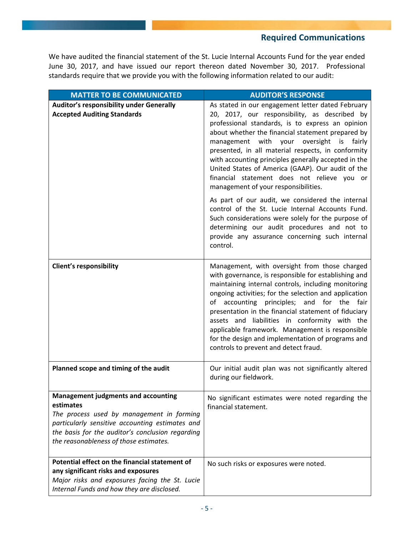### **Required Communications**

We have audited the financial statement of the St. Lucie Internal Accounts Fund for the year ended June 30, 2017, and have issued our report thereon dated November 30, 2017. Professional standards require that we provide you with the following information related to our audit:

| <b>MATTER TO BE COMMUNICATED</b>                                                                                                                                                                                                                      | <b>AUDITOR'S RESPONSE</b>                                                                                                                                                                                                                                                                                                                                                                                                                                                                                                                                                                                                                                                                                                                                                                                   |
|-------------------------------------------------------------------------------------------------------------------------------------------------------------------------------------------------------------------------------------------------------|-------------------------------------------------------------------------------------------------------------------------------------------------------------------------------------------------------------------------------------------------------------------------------------------------------------------------------------------------------------------------------------------------------------------------------------------------------------------------------------------------------------------------------------------------------------------------------------------------------------------------------------------------------------------------------------------------------------------------------------------------------------------------------------------------------------|
| Auditor's responsibility under Generally<br><b>Accepted Auditing Standards</b>                                                                                                                                                                        | As stated in our engagement letter dated February<br>20, 2017, our responsibility, as described by<br>professional standards, is to express an opinion<br>about whether the financial statement prepared by<br>management<br>with<br>your<br>oversight<br>fairly<br>is<br>presented, in all material respects, in conformity<br>with accounting principles generally accepted in the<br>United States of America (GAAP). Our audit of the<br>financial statement does not relieve you or<br>management of your responsibilities.<br>As part of our audit, we considered the internal<br>control of the St. Lucie Internal Accounts Fund.<br>Such considerations were solely for the purpose of<br>determining our audit procedures and not to<br>provide any assurance concerning such internal<br>control. |
| <b>Client's responsibility</b>                                                                                                                                                                                                                        | Management, with oversight from those charged<br>with governance, is responsible for establishing and<br>maintaining internal controls, including monitoring<br>ongoing activities; for the selection and application<br>of accounting principles;<br>for the<br>and<br>fair<br>presentation in the financial statement of fiduciary<br>assets and liabilities in conformity with the<br>applicable framework. Management is responsible<br>for the design and implementation of programs and<br>controls to prevent and detect fraud.                                                                                                                                                                                                                                                                      |
| Planned scope and timing of the audit                                                                                                                                                                                                                 | Our initial audit plan was not significantly altered<br>during our fieldwork.                                                                                                                                                                                                                                                                                                                                                                                                                                                                                                                                                                                                                                                                                                                               |
| <b>Management judgments and accounting</b><br>estimates<br>The process used by management in forming<br>particularly sensitive accounting estimates and<br>the basis for the auditor's conclusion regarding<br>the reasonableness of those estimates. | No significant estimates were noted regarding the<br>financial statement.                                                                                                                                                                                                                                                                                                                                                                                                                                                                                                                                                                                                                                                                                                                                   |
| Potential effect on the financial statement of<br>any significant risks and exposures<br>Major risks and exposures facing the St. Lucie<br>Internal Funds and how they are disclosed.                                                                 | No such risks or exposures were noted.                                                                                                                                                                                                                                                                                                                                                                                                                                                                                                                                                                                                                                                                                                                                                                      |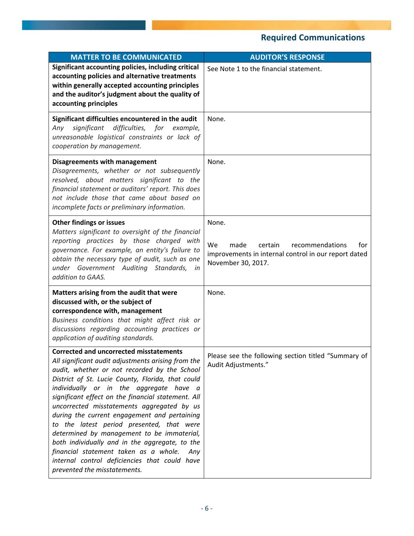## **Required Communications**

| <b>MATTER TO BE COMMUNICATED</b>                                                                                                                                                                                                                                                                                                                                                                                                                                                                                                                                                                                                                                                | <b>AUDITOR'S RESPONSE</b>                                                                                                              |
|---------------------------------------------------------------------------------------------------------------------------------------------------------------------------------------------------------------------------------------------------------------------------------------------------------------------------------------------------------------------------------------------------------------------------------------------------------------------------------------------------------------------------------------------------------------------------------------------------------------------------------------------------------------------------------|----------------------------------------------------------------------------------------------------------------------------------------|
| Significant accounting policies, including critical<br>accounting policies and alternative treatments<br>within generally accepted accounting principles<br>and the auditor's judgment about the quality of<br>accounting principles                                                                                                                                                                                                                                                                                                                                                                                                                                            | See Note 1 to the financial statement.                                                                                                 |
| Significant difficulties encountered in the audit<br>significant difficulties, for example,<br>Any<br>unreasonable logistical constraints or lack of<br>cooperation by management.                                                                                                                                                                                                                                                                                                                                                                                                                                                                                              | None.                                                                                                                                  |
| <b>Disagreements with management</b><br>Disagreements, whether or not subsequently<br>resolved, about matters significant to the<br>financial statement or auditors' report. This does<br>not include those that came about based on<br>incomplete facts or preliminary information.                                                                                                                                                                                                                                                                                                                                                                                            | None.                                                                                                                                  |
| <b>Other findings or issues</b><br>Matters significant to oversight of the financial<br>reporting practices by those charged with<br>governance. For example, an entity's failure to<br>obtain the necessary type of audit, such as one<br>under Government Auditing Standards,<br>in<br>addition to GAAS.                                                                                                                                                                                                                                                                                                                                                                      | None.<br>We<br>made<br>certain<br>recommendations<br>for<br>improvements in internal control in our report dated<br>November 30, 2017. |
| Matters arising from the audit that were<br>discussed with, or the subject of<br>correspondence with, management<br>Business conditions that might affect risk or<br>discussions regarding accounting practices or<br>application of auditing standards.                                                                                                                                                                                                                                                                                                                                                                                                                        | None.                                                                                                                                  |
| Corrected and uncorrected misstatements<br>All significant audit adjustments arising from the<br>audit, whether or not recorded by the School<br>District of St. Lucie County, Florida, that could<br>individually or in the aggregate have a<br>significant effect on the financial statement. All<br>uncorrected misstatements aggregated by us<br>during the current engagement and pertaining<br>to the latest period presented, that were<br>determined by management to be immaterial,<br>both individually and in the aggregate, to the<br>financial statement taken as a whole.<br>Any<br>internal control deficiencies that could have<br>prevented the misstatements. | Please see the following section titled "Summary of<br>Audit Adjustments."                                                             |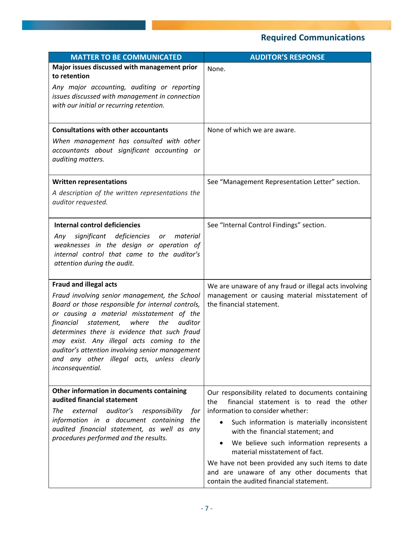# **Required Communications**

| <b>MATTER TO BE COMMUNICATED</b>                                                                                                                                                                                                                                                                                                                                                                                     | <b>AUDITOR'S RESPONSE</b>                                                                                                                   |
|----------------------------------------------------------------------------------------------------------------------------------------------------------------------------------------------------------------------------------------------------------------------------------------------------------------------------------------------------------------------------------------------------------------------|---------------------------------------------------------------------------------------------------------------------------------------------|
| Major issues discussed with management prior<br>to retention                                                                                                                                                                                                                                                                                                                                                         | None.                                                                                                                                       |
| Any major accounting, auditing or reporting<br>issues discussed with management in connection<br>with our initial or recurring retention.                                                                                                                                                                                                                                                                            |                                                                                                                                             |
| <b>Consultations with other accountants</b>                                                                                                                                                                                                                                                                                                                                                                          | None of which we are aware.                                                                                                                 |
| When management has consulted with other<br>accountants about significant accounting or<br>auditing matters.                                                                                                                                                                                                                                                                                                         |                                                                                                                                             |
| <b>Written representations</b>                                                                                                                                                                                                                                                                                                                                                                                       | See "Management Representation Letter" section.                                                                                             |
| A description of the written representations the<br>auditor requested.                                                                                                                                                                                                                                                                                                                                               |                                                                                                                                             |
| <b>Internal control deficiencies</b>                                                                                                                                                                                                                                                                                                                                                                                 | See "Internal Control Findings" section.                                                                                                    |
| significant deficiencies<br>or<br>material<br>Any<br>weaknesses in the design or operation of<br>internal control that came to the auditor's<br>attention during the audit.                                                                                                                                                                                                                                          |                                                                                                                                             |
| <b>Fraud and illegal acts</b>                                                                                                                                                                                                                                                                                                                                                                                        | We are unaware of any fraud or illegal acts involving                                                                                       |
| Fraud involving senior management, the School<br>Board or those responsible for internal controls,<br>or causing a material misstatement of the<br>financial statement,<br>where<br>the<br>auditor<br>determines there is evidence that such fraud<br>may exist. Any illegal acts coming to the<br>auditor's attention involving senior management<br>and any other illegal acts, unless clearly<br>inconsequential. | management or causing material misstatement of<br>the financial statement.                                                                  |
| Other information in documents containing<br>audited financial statement                                                                                                                                                                                                                                                                                                                                             | Our responsibility related to documents containing                                                                                          |
| auditor's<br>The<br>external<br>responsibility<br>for                                                                                                                                                                                                                                                                                                                                                                | financial statement is to read the other<br>the<br>information to consider whether:                                                         |
| information in a document containing<br>the<br>audited financial statement, as well as any                                                                                                                                                                                                                                                                                                                           | Such information is materially inconsistent<br>with the financial statement; and                                                            |
| procedures performed and the results.                                                                                                                                                                                                                                                                                                                                                                                | We believe such information represents a<br>material misstatement of fact.                                                                  |
|                                                                                                                                                                                                                                                                                                                                                                                                                      | We have not been provided any such items to date<br>and are unaware of any other documents that<br>contain the audited financial statement. |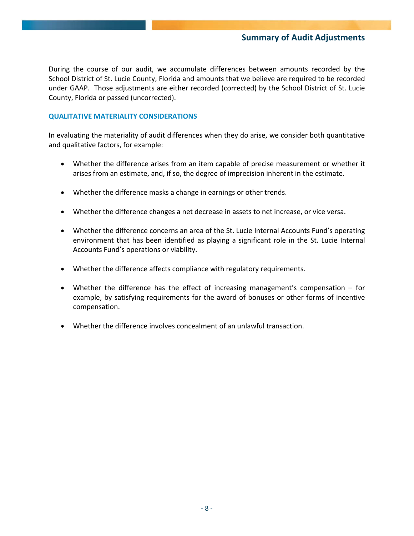### **Summary of Audit Adjustments**

During the course of our audit, we accumulate differences between amounts recorded by the School District of St. Lucie County, Florida and amounts that we believe are required to be recorded under GAAP. Those adjustments are either recorded (corrected) by the School District of St. Lucie County, Florida or passed (uncorrected).

### **QUALITATIVE MATERIALITY CONSIDERATIONS**

In evaluating the materiality of audit differences when they do arise, we consider both quantitative and qualitative factors, for example:

- Whether the difference arises from an item capable of precise measurement or whether it arises from an estimate, and, if so, the degree of imprecision inherent in the estimate.
- Whether the difference masks a change in earnings or other trends.
- Whether the difference changes a net decrease in assets to net increase, or vice versa.
- Whether the difference concerns an area of the St. Lucie Internal Accounts Fund's operating environment that has been identified as playing a significant role in the St. Lucie Internal Accounts Fund's operations or viability.
- Whether the difference affects compliance with regulatory requirements.
- Whether the difference has the effect of increasing management's compensation for example, by satisfying requirements for the award of bonuses or other forms of incentive compensation.
- Whether the difference involves concealment of an unlawful transaction.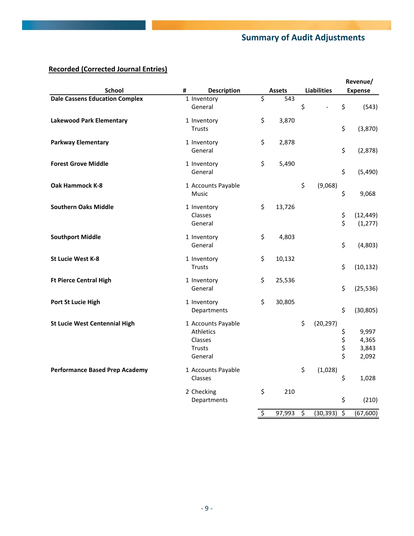## **Summary of Audit Adjustments**

## **Recorded (Corrected Journal Entries)**

|                                       |   |                                                                        |                        |               |    | Revenue/           |                      |                                  |
|---------------------------------------|---|------------------------------------------------------------------------|------------------------|---------------|----|--------------------|----------------------|----------------------------------|
| <b>School</b>                         | # | <b>Description</b>                                                     |                        | <b>Assets</b> |    | <b>Liabilities</b> |                      | <b>Expense</b>                   |
| <b>Dale Cassens Education Complex</b> |   | 1 Inventory                                                            | $\overline{\xi}$       | 543           |    |                    |                      |                                  |
|                                       |   | General                                                                |                        |               | \$ |                    | \$                   | (543)                            |
| <b>Lakewood Park Elementary</b>       |   | 1 Inventory<br>Trusts                                                  | \$                     | 3,870         |    |                    | \$                   | (3,870)                          |
| <b>Parkway Elementary</b>             |   | 1 Inventory<br>General                                                 | \$                     | 2,878         |    |                    | \$                   | (2,878)                          |
| <b>Forest Grove Middle</b>            |   | 1 Inventory<br>General                                                 | \$                     | 5,490         |    |                    | \$                   | (5,490)                          |
| Oak Hammock K-8                       |   | 1 Accounts Payable<br>Music                                            |                        |               | \$ | (9,068)            | \$                   | 9,068                            |
| <b>Southern Oaks Middle</b>           |   | 1 Inventory<br>Classes<br>General                                      | \$                     | 13,726        |    |                    | \$<br>\$             | (12, 449)<br>(1, 277)            |
| <b>Southport Middle</b>               |   | 1 Inventory<br>General                                                 | \$                     | 4,803         |    |                    | \$                   | (4,803)                          |
| <b>St Lucie West K-8</b>              |   | 1 Inventory<br><b>Trusts</b>                                           | \$                     | 10,132        |    |                    | \$                   | (10, 132)                        |
| <b>Ft Pierce Central High</b>         |   | 1 Inventory<br>General                                                 | \$                     | 25,536        |    |                    | \$                   | (25, 536)                        |
| Port St Lucie High                    |   | 1 Inventory<br>Departments                                             | \$                     | 30,805        |    |                    | \$                   | (30, 805)                        |
| <b>St Lucie West Centennial High</b>  |   | 1 Accounts Payable<br>Athletics<br>Classes<br><b>Trusts</b><br>General |                        |               | \$ | (20, 297)          | \$<br>\$<br>\$<br>\$ | 9,997<br>4,365<br>3,843<br>2,092 |
| <b>Performance Based Prep Academy</b> |   | 1 Accounts Payable<br>Classes                                          |                        |               | \$ | (1,028)            | \$                   | 1,028                            |
|                                       |   | 2 Checking<br>Departments                                              | \$                     | 210           |    |                    | \$                   | (210)                            |
|                                       |   |                                                                        | $\overline{\varsigma}$ | 97,993        | \$ | (30, 393)          | \$                   | (67, 600)                        |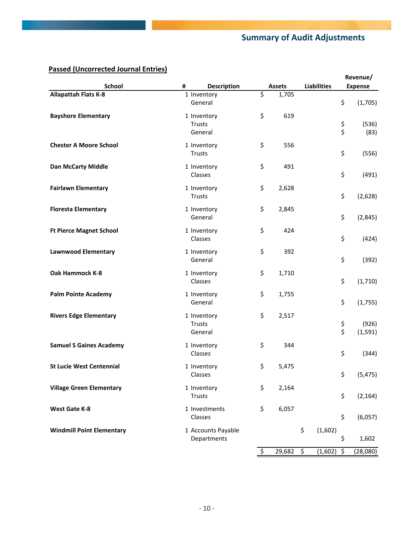## **Summary of Audit Adjustments**

## **Passed (Uncorrected Journal Entries)**

|                                  |   |                              |               |                    |                | Revenue/       |
|----------------------------------|---|------------------------------|---------------|--------------------|----------------|----------------|
| <b>School</b>                    | # | <b>Description</b>           | <b>Assets</b> | <b>Liabilities</b> |                | <b>Expense</b> |
| <b>Allapattah Flats K-8</b>      |   | 1 Inventory                  | \$<br>1,705   |                    |                |                |
|                                  |   | General                      |               |                    | \$             | (1,705)        |
| <b>Bayshore Elementary</b>       |   | 1 Inventory                  | \$<br>619     |                    |                |                |
|                                  |   | Trusts                       |               |                    | \$             | (536)          |
|                                  |   | General                      |               |                    | \$             | (83)           |
| <b>Chester A Moore School</b>    |   | 1 Inventory                  | \$<br>556     |                    |                |                |
|                                  |   | Trusts                       |               |                    | \$             | (556)          |
| <b>Dan McCarty Middle</b>        |   | 1 Inventory                  | \$<br>491     |                    |                |                |
|                                  |   | Classes                      |               |                    | \$             | (491)          |
|                                  |   |                              | \$            |                    |                |                |
| <b>Fairlawn Elementary</b>       |   | 1 Inventory<br>Trusts        | 2,628         |                    | \$             | (2,628)        |
|                                  |   |                              |               |                    |                |                |
| <b>Floresta Elementary</b>       |   | 1 Inventory<br>General       | \$<br>2,845   |                    | \$             | (2,845)        |
|                                  |   |                              |               |                    |                |                |
| <b>Ft Pierce Magnet School</b>   |   | 1 Inventory                  | \$<br>424     |                    |                |                |
|                                  |   | Classes                      |               |                    | \$             | (424)          |
| <b>Lawnwood Elementary</b>       |   | 1 Inventory                  | \$<br>392     |                    |                |                |
|                                  |   | General                      |               |                    | \$             | (392)          |
| Oak Hammock K-8                  |   | 1 Inventory                  | \$<br>1,710   |                    |                |                |
|                                  |   | Classes                      |               |                    | \$             | (1,710)        |
| <b>Palm Pointe Academy</b>       |   | 1 Inventory                  | \$<br>1,755   |                    |                |                |
|                                  |   | General                      |               |                    | \$             | (1,755)        |
| <b>Rivers Edge Elementary</b>    |   | 1 Inventory                  | \$<br>2,517   |                    |                |                |
|                                  |   | Trusts                       |               |                    |                | (926)          |
|                                  |   | General                      |               |                    | \$<br>\$       | (1, 591)       |
| <b>Samuel S Gaines Academy</b>   |   | 1 Inventory                  | \$<br>344     |                    |                |                |
|                                  |   | Classes                      |               |                    | \$             | (344)          |
| <b>St Lucie West Centennial</b>  |   | 1 Inventory                  | \$<br>5,475   |                    |                |                |
|                                  |   | Classes                      |               |                    | \$             | (5, 475)       |
|                                  |   |                              |               |                    |                |                |
| <b>Village Green Elementary</b>  |   | 1 Inventory<br><b>Trusts</b> | \$<br>2,164   |                    | \$             | (2, 164)       |
|                                  |   |                              |               |                    |                |                |
| <b>West Gate K-8</b>             |   | 1 Investments                | \$<br>6,057   |                    |                |                |
|                                  |   | Classes                      |               |                    | \$             | (6,057)        |
| <b>Windmill Point Elementary</b> |   | 1 Accounts Payable           |               | \$                 | (1,602)        |                |
|                                  |   | Departments                  |               |                    | \$             | 1,602          |
|                                  |   |                              | \$<br>29,682  | \$                 | (1,602)<br>-\$ | (28,080)       |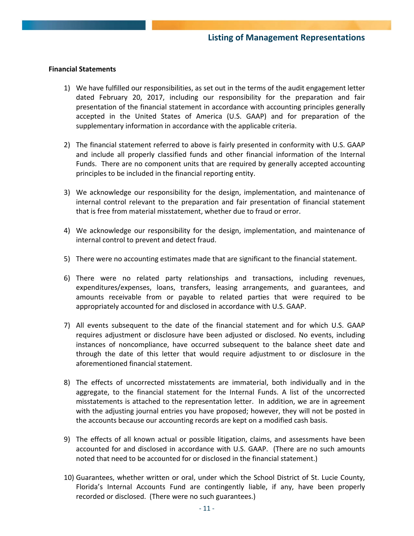### **Financial Statements**

- 1) We have fulfilled our responsibilities, as set out in the terms of the audit engagement letter dated February 20, 2017, including our responsibility for the preparation and fair presentation of the financial statement in accordance with accounting principles generally accepted in the United States of America (U.S. GAAP) and for preparation of the supplementary information in accordance with the applicable criteria.
- 2) The financial statement referred to above is fairly presented in conformity with U.S. GAAP and include all properly classified funds and other financial information of the Internal Funds. There are no component units that are required by generally accepted accounting principles to be included in the financial reporting entity.
- 3) We acknowledge our responsibility for the design, implementation, and maintenance of internal control relevant to the preparation and fair presentation of financial statement that is free from material misstatement, whether due to fraud or error.
- 4) We acknowledge our responsibility for the design, implementation, and maintenance of internal control to prevent and detect fraud.
- 5) There were no accounting estimates made that are significant to the financial statement.
- 6) There were no related party relationships and transactions, including revenues, expenditures/expenses, loans, transfers, leasing arrangements, and guarantees, and amounts receivable from or payable to related parties that were required to be appropriately accounted for and disclosed in accordance with U.S. GAAP.
- 7) All events subsequent to the date of the financial statement and for which U.S. GAAP requires adjustment or disclosure have been adjusted or disclosed. No events, including instances of noncompliance, have occurred subsequent to the balance sheet date and through the date of this letter that would require adjustment to or disclosure in the aforementioned financial statement.
- 8) The effects of uncorrected misstatements are immaterial, both individually and in the aggregate, to the financial statement for the Internal Funds. A list of the uncorrected misstatements is attached to the representation letter. In addition, we are in agreement with the adjusting journal entries you have proposed; however, they will not be posted in the accounts because our accounting records are kept on a modified cash basis.
- 9) The effects of all known actual or possible litigation, claims, and assessments have been accounted for and disclosed in accordance with U.S. GAAP. (There are no such amounts noted that need to be accounted for or disclosed in the financial statement.)
- 10) Guarantees, whether written or oral, under which the School District of St. Lucie County, Florida's Internal Accounts Fund are contingently liable, if any, have been properly recorded or disclosed. (There were no such guarantees.)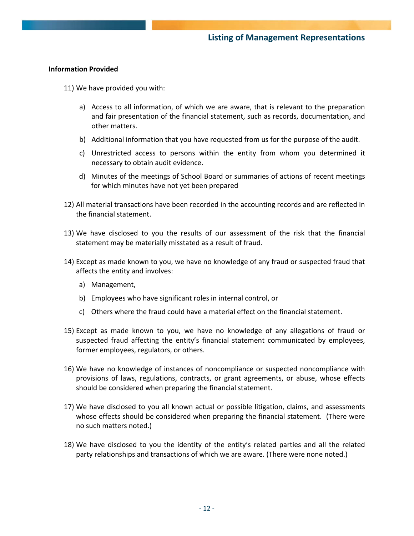### **Information Provided**

- 11) We have provided you with:
	- a) Access to all information, of which we are aware, that is relevant to the preparation and fair presentation of the financial statement, such as records, documentation, and other matters.
	- b) Additional information that you have requested from us for the purpose of the audit.
	- c) Unrestricted access to persons within the entity from whom you determined it necessary to obtain audit evidence.
	- d) Minutes of the meetings of School Board or summaries of actions of recent meetings for which minutes have not yet been prepared
- 12) All material transactions have been recorded in the accounting records and are reflected in the financial statement.
- 13) We have disclosed to you the results of our assessment of the risk that the financial statement may be materially misstated as a result of fraud.
- 14) Except as made known to you, we have no knowledge of any fraud or suspected fraud that affects the entity and involves:
	- a) Management,
	- b) Employees who have significant roles in internal control, or
	- c) Others where the fraud could have a material effect on the financial statement.
- 15) Except as made known to you, we have no knowledge of any allegations of fraud or suspected fraud affecting the entity's financial statement communicated by employees, former employees, regulators, or others.
- 16) We have no knowledge of instances of noncompliance or suspected noncompliance with provisions of laws, regulations, contracts, or grant agreements, or abuse, whose effects should be considered when preparing the financial statement.
- 17) We have disclosed to you all known actual or possible litigation, claims, and assessments whose effects should be considered when preparing the financial statement. (There were no such matters noted.)
- 18) We have disclosed to you the identity of the entity's related parties and all the related party relationships and transactions of which we are aware. (There were none noted.)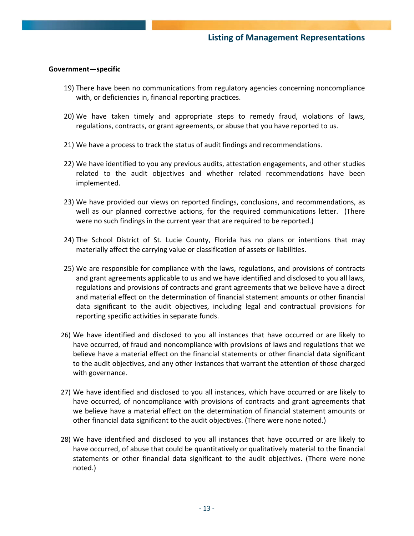### **Government—specific**

- 19) There have been no communications from regulatory agencies concerning noncompliance with, or deficiencies in, financial reporting practices.
- 20) We have taken timely and appropriate steps to remedy fraud, violations of laws, regulations, contracts, or grant agreements, or abuse that you have reported to us.
- 21) We have a process to track the status of audit findings and recommendations.
- 22) We have identified to you any previous audits, attestation engagements, and other studies related to the audit objectives and whether related recommendations have been implemented.
- 23) We have provided our views on reported findings, conclusions, and recommendations, as well as our planned corrective actions, for the required communications letter. (There were no such findings in the current year that are required to be reported.)
- 24) The School District of St. Lucie County, Florida has no plans or intentions that may materially affect the carrying value or classification of assets or liabilities.
- 25) We are responsible for compliance with the laws, regulations, and provisions of contracts and grant agreements applicable to us and we have identified and disclosed to you all laws, regulations and provisions of contracts and grant agreements that we believe have a direct and material effect on the determination of financial statement amounts or other financial data significant to the audit objectives, including legal and contractual provisions for reporting specific activities in separate funds.
- 26) We have identified and disclosed to you all instances that have occurred or are likely to have occurred, of fraud and noncompliance with provisions of laws and regulations that we believe have a material effect on the financial statements or other financial data significant to the audit objectives, and any other instances that warrant the attention of those charged with governance.
- 27) We have identified and disclosed to you all instances, which have occurred or are likely to have occurred, of noncompliance with provisions of contracts and grant agreements that we believe have a material effect on the determination of financial statement amounts or other financial data significant to the audit objectives. (There were none noted.)
- 28) We have identified and disclosed to you all instances that have occurred or are likely to have occurred, of abuse that could be quantitatively or qualitatively material to the financial statements or other financial data significant to the audit objectives. (There were none noted.)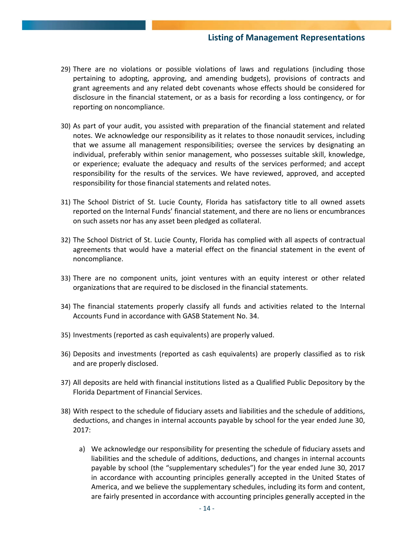### **Listing of Management Representations**

- 29) There are no violations or possible violations of laws and regulations (including those pertaining to adopting, approving, and amending budgets), provisions of contracts and grant agreements and any related debt covenants whose effects should be considered for disclosure in the financial statement, or as a basis for recording a loss contingency, or for reporting on noncompliance.
- 30) As part of your audit, you assisted with preparation of the financial statement and related notes. We acknowledge our responsibility as it relates to those nonaudit services, including that we assume all management responsibilities; oversee the services by designating an individual, preferably within senior management, who possesses suitable skill, knowledge, or experience; evaluate the adequacy and results of the services performed; and accept responsibility for the results of the services. We have reviewed, approved, and accepted responsibility for those financial statements and related notes.
- 31) The School District of St. Lucie County, Florida has satisfactory title to all owned assets reported on the Internal Funds' financial statement, and there are no liens or encumbrances on such assets nor has any asset been pledged as collateral.
- 32) The School District of St. Lucie County, Florida has complied with all aspects of contractual agreements that would have a material effect on the financial statement in the event of noncompliance.
- 33) There are no component units, joint ventures with an equity interest or other related organizations that are required to be disclosed in the financial statements.
- 34) The financial statements properly classify all funds and activities related to the Internal Accounts Fund in accordance with GASB Statement No. 34.
- 35) Investments (reported as cash equivalents) are properly valued.
- 36) Deposits and investments (reported as cash equivalents) are properly classified as to risk and are properly disclosed.
- 37) All deposits are held with financial institutions listed as a Qualified Public Depository by the Florida Department of Financial Services.
- 38) With respect to the schedule of fiduciary assets and liabilities and the schedule of additions, deductions, and changes in internal accounts payable by school for the year ended June 30, 2017:
	- a) We acknowledge our responsibility for presenting the schedule of fiduciary assets and liabilities and the schedule of additions, deductions, and changes in internal accounts payable by school (the "supplementary schedules") for the year ended June 30, 2017 in accordance with accounting principles generally accepted in the United States of America, and we believe the supplementary schedules, including its form and content, are fairly presented in accordance with accounting principles generally accepted in the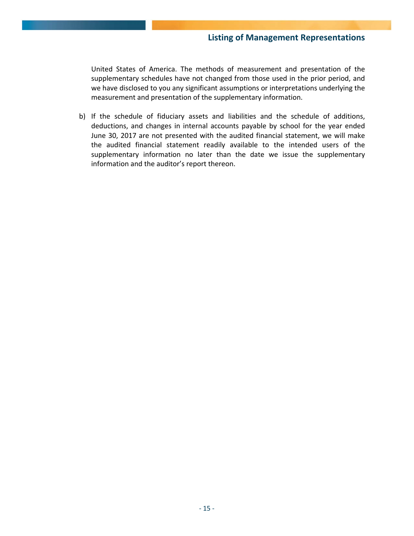United States of America. The methods of measurement and presentation of the supplementary schedules have not changed from those used in the prior period, and we have disclosed to you any significant assumptions or interpretations underlying the measurement and presentation of the supplementary information.

b) If the schedule of fiduciary assets and liabilities and the schedule of additions, deductions, and changes in internal accounts payable by school for the year ended June 30, 2017 are not presented with the audited financial statement, we will make the audited financial statement readily available to the intended users of the supplementary information no later than the date we issue the supplementary information and the auditor's report thereon.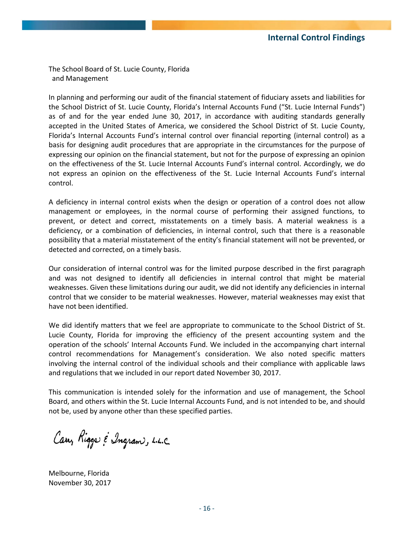The School Board of St. Lucie County, Florida and Management

In planning and performing our audit of the financial statement of fiduciary assets and liabilities for the School District of St. Lucie County, Florida's Internal Accounts Fund ("St. Lucie Internal Funds") as of and for the year ended June 30, 2017, in accordance with auditing standards generally accepted in the United States of America, we considered the School District of St. Lucie County, Florida's Internal Accounts Fund's internal control over financial reporting (internal control) as a basis for designing audit procedures that are appropriate in the circumstances for the purpose of expressing our opinion on the financial statement, but not for the purpose of expressing an opinion on the effectiveness of the St. Lucie Internal Accounts Fund's internal control. Accordingly, we do not express an opinion on the effectiveness of the St. Lucie Internal Accounts Fund's internal control.

A deficiency in internal control exists when the design or operation of a control does not allow management or employees, in the normal course of performing their assigned functions, to prevent, or detect and correct, misstatements on a timely basis. A material weakness is a deficiency, or a combination of deficiencies, in internal control, such that there is a reasonable possibility that a material misstatement of the entity's financial statement will not be prevented, or detected and corrected, on a timely basis.

Our consideration of internal control was for the limited purpose described in the first paragraph and was not designed to identify all deficiencies in internal control that might be material weaknesses. Given these limitations during our audit, we did not identify any deficiencies in internal control that we consider to be material weaknesses. However, material weaknesses may exist that have not been identified.

We did identify matters that we feel are appropriate to communicate to the School District of St. Lucie County, Florida for improving the efficiency of the present accounting system and the operation of the schools' Internal Accounts Fund. We included in the accompanying chart internal control recommendations for Management's consideration. We also noted specific matters involving the internal control of the individual schools and their compliance with applicable laws and regulations that we included in our report dated November 30, 2017.

This communication is intended solely for the information and use of management, the School Board, and others within the St. Lucie Internal Accounts Fund, and is not intended to be, and should not be, used by anyone other than these specified parties.

Carr, Rigger & Ingram, L.L.C.

Melbourne, Florida November 30, 2017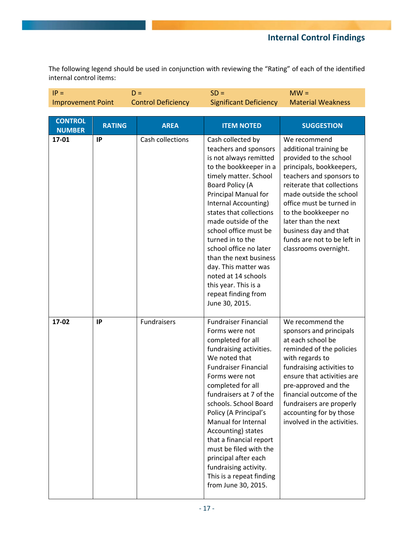## **Internal Control Findings**

The following legend should be used in conjunction with reviewing the "Rating" of each of the identified internal control items:

| $IP =$                          |               | $D =$                     | $SD =$                                                                                                                                                                                                                                                                                                                                                                                                                                                                  | $MW =$                                                                                                                                                                                                                                                                                                                                        |
|---------------------------------|---------------|---------------------------|-------------------------------------------------------------------------------------------------------------------------------------------------------------------------------------------------------------------------------------------------------------------------------------------------------------------------------------------------------------------------------------------------------------------------------------------------------------------------|-----------------------------------------------------------------------------------------------------------------------------------------------------------------------------------------------------------------------------------------------------------------------------------------------------------------------------------------------|
| <b>Improvement Point</b>        |               | <b>Control Deficiency</b> | <b>Significant Deficiency</b>                                                                                                                                                                                                                                                                                                                                                                                                                                           | <b>Material Weakness</b>                                                                                                                                                                                                                                                                                                                      |
|                                 |               |                           |                                                                                                                                                                                                                                                                                                                                                                                                                                                                         |                                                                                                                                                                                                                                                                                                                                               |
| <b>CONTROL</b><br><b>NUMBER</b> | <b>RATING</b> | <b>AREA</b>               | <b>ITEM NOTED</b>                                                                                                                                                                                                                                                                                                                                                                                                                                                       | <b>SUGGESTION</b>                                                                                                                                                                                                                                                                                                                             |
| 17-01                           | IP            | Cash collections          | Cash collected by<br>teachers and sponsors<br>is not always remitted<br>to the bookkeeper in a<br>timely matter. School<br>Board Policy (A<br>Principal Manual for<br>Internal Accounting)<br>states that collections<br>made outside of the<br>school office must be<br>turned in to the<br>school office no later<br>than the next business<br>day. This matter was<br>noted at 14 schools<br>this year. This is a<br>repeat finding from<br>June 30, 2015.           | We recommend<br>additional training be<br>provided to the school<br>principals, bookkeepers,<br>teachers and sponsors to<br>reiterate that collections<br>made outside the school<br>office must be turned in<br>to the bookkeeper no<br>later than the next<br>business day and that<br>funds are not to be left in<br>classrooms overnight. |
| 17-02                           | IP            | Fundraisers               | <b>Fundraiser Financial</b><br>Forms were not<br>completed for all<br>fundraising activities.<br>We noted that<br><b>Fundraiser Financial</b><br>Forms were not<br>completed for all<br>fundraisers at 7 of the<br>schools. School Board<br>Policy (A Principal's<br>Manual for Internal<br>Accounting) states<br>that a financial report<br>must be filed with the<br>principal after each<br>fundraising activity.<br>This is a repeat finding<br>from June 30, 2015. | We recommend the<br>sponsors and principals<br>at each school be<br>reminded of the policies<br>with regards to<br>fundraising activities to<br>ensure that activities are<br>pre-approved and the<br>financial outcome of the<br>fundraisers are properly<br>accounting for by those<br>involved in the activities.                          |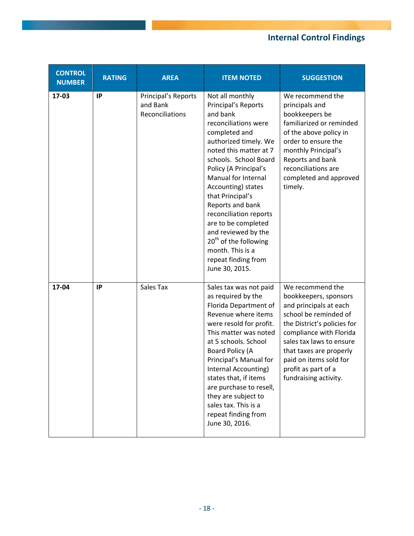# **Internal Control Findings**

| <b>CONTROL</b><br><b>NUMBER</b> | <b>RATING</b> | <b>AREA</b>                                        | <b>ITEM NOTED</b>                                                                                                                                                                                                                                                                                                                                                                                                                                               | <b>SUGGESTION</b>                                                                                                                                                                                                                                                                       |
|---------------------------------|---------------|----------------------------------------------------|-----------------------------------------------------------------------------------------------------------------------------------------------------------------------------------------------------------------------------------------------------------------------------------------------------------------------------------------------------------------------------------------------------------------------------------------------------------------|-----------------------------------------------------------------------------------------------------------------------------------------------------------------------------------------------------------------------------------------------------------------------------------------|
| 17-03                           | IP            | Principal's Reports<br>and Bank<br>Reconciliations | Not all monthly<br>Principal's Reports<br>and bank<br>reconciliations were<br>completed and<br>authorized timely. We<br>noted this matter at 7<br>schools. School Board<br>Policy (A Principal's<br>Manual for Internal<br>Accounting) states<br>that Principal's<br>Reports and bank<br>reconciliation reports<br>are to be completed<br>and reviewed by the<br>20 <sup>th</sup> of the following<br>month. This is a<br>repeat finding from<br>June 30, 2015. | We recommend the<br>principals and<br>bookkeepers be<br>familiarized or reminded<br>of the above policy in<br>order to ensure the<br>monthly Principal's<br>Reports and bank<br>reconciliations are<br>completed and approved<br>timely.                                                |
| 17-04                           | IP            | Sales Tax                                          | Sales tax was not paid<br>as required by the<br>Florida Department of<br>Revenue where items<br>were resold for profit.<br>This matter was noted<br>at 5 schools. School<br>Board Policy (A<br>Principal's Manual for<br>Internal Accounting)<br>states that, if items<br>are purchase to resell,<br>they are subject to<br>sales tax. This is a<br>repeat finding from<br>June 30, 2016.                                                                       | We recommend the<br>bookkeepers, sponsors<br>and principals at each<br>school be reminded of<br>the District's policies for<br>compliance with Florida<br>sales tax laws to ensure<br>that taxes are properly<br>paid on items sold for<br>profit as part of a<br>fundraising activity. |